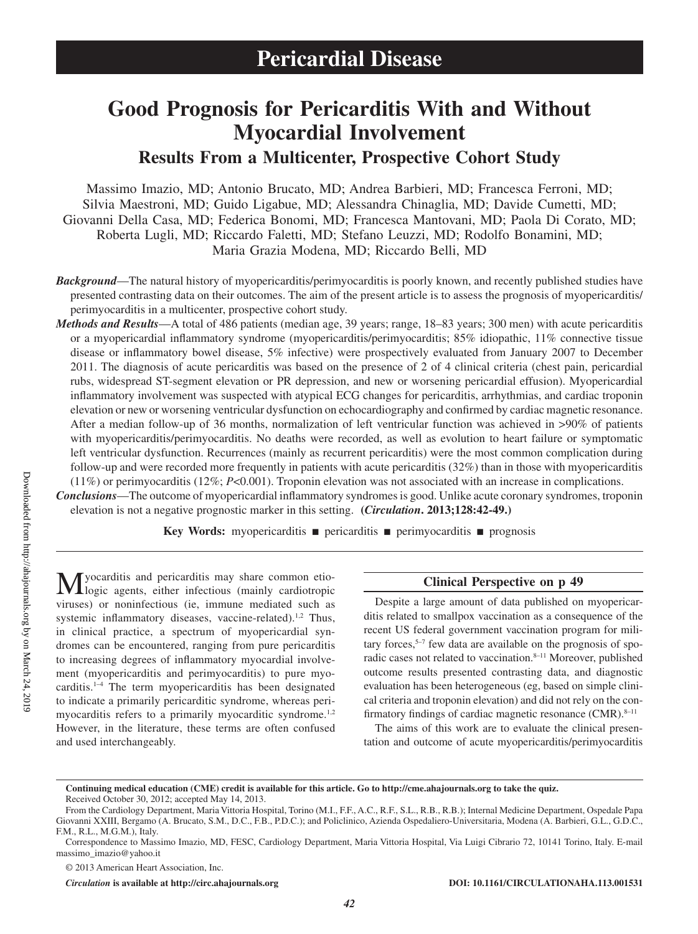# **Good Prognosis for Pericarditis With and Without Myocardial Involvement**

**Results From a Multicenter, Prospective Cohort Study**

Massimo Imazio, MD; Antonio Brucato, MD; Andrea Barbieri, MD; Francesca Ferroni, MD; Silvia Maestroni, MD; Guido Ligabue, MD; Alessandra Chinaglia, MD; Davide Cumetti, MD; Giovanni Della Casa, MD; Federica Bonomi, MD; Francesca Mantovani, MD; Paola Di Corato, MD; Roberta Lugli, MD; Riccardo Faletti, MD; Stefano Leuzzi, MD; Rodolfo Bonamini, MD; Maria Grazia Modena, MD; Riccardo Belli, MD

*Background*—The natural history of myopericarditis/perimyocarditis is poorly known, and recently published studies have presented contrasting data on their outcomes. The aim of the present article is to assess the prognosis of myopericarditis/ perimyocarditis in a multicenter, prospective cohort study.

*Methods and Results*—A total of 486 patients (median age, 39 years; range, 18–83 years; 300 men) with acute pericarditis or a myopericardial inflammatory syndrome (myopericarditis/perimyocarditis; 85% idiopathic, 11% connective tissue disease or inflammatory bowel disease, 5% infective) were prospectively evaluated from January 2007 to December 2011. The diagnosis of acute pericarditis was based on the presence of 2 of 4 clinical criteria (chest pain, pericardial rubs, widespread ST-segment elevation or PR depression, and new or worsening pericardial effusion). Myopericardial inflammatory involvement was suspected with atypical ECG changes for pericarditis, arrhythmias, and cardiac troponin elevation or new or worsening ventricular dysfunction on echocardiography and confirmed by cardiac magnetic resonance. After a median follow-up of 36 months, normalization of left ventricular function was achieved in >90% of patients with myopericarditis/perimyocarditis. No deaths were recorded, as well as evolution to heart failure or symptomatic left ventricular dysfunction. Recurrences (mainly as recurrent pericarditis) were the most common complication during follow-up and were recorded more frequently in patients with acute pericarditis (32%) than in those with myopericarditis (11%) or perimyocarditis (12%; *P*<0.001). Troponin elevation was not associated with an increase in complications.

*Conclusions*—The outcome of myopericardial inflammatory syndromes is good. Unlike acute coronary syndromes, troponin elevation is not a negative prognostic marker in this setting. **(***Circulation***. 2013;128:42-49.)**

**Key Words:** myopericarditis ■ pericarditis ■ perimyocarditis ■ prognosis

Myocarditis and pericarditis may share common etio-logic agents, either infectious (mainly cardiotropic viruses) or noninfectious (ie, immune mediated such as systemic inflammatory diseases, vaccine-related).<sup>1,2</sup> Thus, in clinical practice, a spectrum of myopericardial syndromes can be encountered, ranging from pure pericarditis to increasing degrees of inflammatory myocardial involvement (myopericarditis and perimyocarditis) to pure myocarditis.1–4 The term myopericarditis has been designated to indicate a primarily pericarditic syndrome, whereas perimyocarditis refers to a primarily myocarditic syndrome.<sup>1,2</sup> However, in the literature, these terms are often confused and used interchangeably.

# **Clinical Perspective on p 49**

Despite a large amount of data published on myopericarditis related to smallpox vaccination as a consequence of the recent US federal government vaccination program for military forces, $5-7$  few data are available on the prognosis of sporadic cases not related to vaccination.8–11 Moreover, published outcome results presented contrasting data, and diagnostic evaluation has been heterogeneous (eg, based on simple clinical criteria and troponin elevation) and did not rely on the confirmatory findings of cardiac magnetic resonance  $(CMR)$ .<sup>8–11</sup>

The aims of this work are to evaluate the clinical presentation and outcome of acute myopericarditis/perimyocarditis

© 2013 American Heart Association, Inc.

*Circulation* **is available at http://circ.ahajournals.org DOI: 10.1161/CIRCULATIONAHA.113.001531**

**Continuing medical education (CME) credit is available for this article. Go to<http://cme.ahajournals.org>to take the quiz.** Received October 30, 2012; accepted May 14, 2013.

From the Cardiology Department, Maria Vittoria Hospital, Torino (M.I., F.F., A.C., R.F., S.L., R.B., R.B.); Internal Medicine Department, Ospedale Papa Giovanni XXIII, Bergamo (A. Brucato, S.M., D.C., F.B., P.D.C.); and Policlinico, Azienda Ospedaliero-Universitaria, Modena (A. Barbieri, G.L., G.D.C., F.M., R.L., M.G.M.), Italy.

Correspondence to Massimo Imazio, MD, FESC, Cardiology Department, Maria Vittoria Hospital, Via Luigi Cibrario 72, 10141 Torino, Italy. E-mail [massimo\\_imazio@yahoo.it](mailto:massimo_imazio@yahoo.it)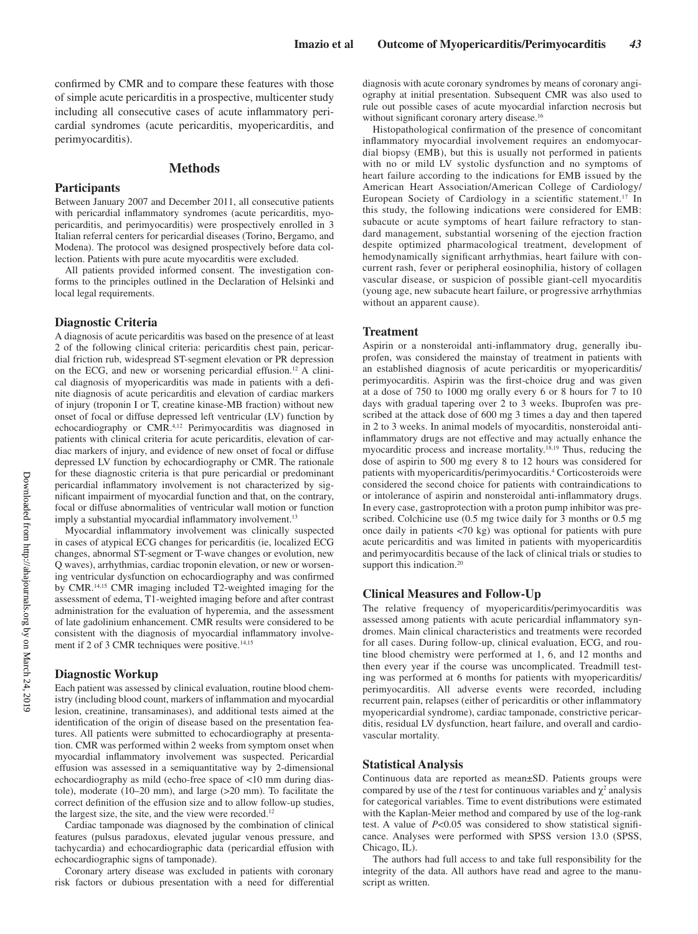confirmed by CMR and to compare these features with those of simple acute pericarditis in a prospective, multicenter study including all consecutive cases of acute inflammatory pericardial syndromes (acute pericarditis, myopericarditis, and perimyocarditis).

# **Methods**

## **Participants**

Between January 2007 and December 2011, all consecutive patients with pericardial inflammatory syndromes (acute pericarditis, myopericarditis, and perimyocarditis) were prospectively enrolled in 3 Italian referral centers for pericardial diseases (Torino, Bergamo, and Modena). The protocol was designed prospectively before data collection. Patients with pure acute myocarditis were excluded.

All patients provided informed consent. The investigation conforms to the principles outlined in the Declaration of Helsinki and local legal requirements.

# **Diagnostic Criteria**

A diagnosis of acute pericarditis was based on the presence of at least 2 of the following clinical criteria: pericarditis chest pain, pericardial friction rub, widespread ST-segment elevation or PR depression on the ECG, and new or worsening pericardial effusion.12 A clinical diagnosis of myopericarditis was made in patients with a definite diagnosis of acute pericarditis and elevation of cardiac markers of injury (troponin I or T, creatine kinase-MB fraction) without new onset of focal or diffuse depressed left ventricular (LV) function by echocardiography or CMR.4,12 Perimyocarditis was diagnosed in patients with clinical criteria for acute pericarditis, elevation of cardiac markers of injury, and evidence of new onset of focal or diffuse depressed LV function by echocardiography or CMR. The rationale for these diagnostic criteria is that pure pericardial or predominant pericardial inflammatory involvement is not characterized by significant impairment of myocardial function and that, on the contrary, focal or diffuse abnormalities of ventricular wall motion or function imply a substantial myocardial inflammatory involvement.<sup>13</sup>

Myocardial inflammatory involvement was clinically suspected in cases of atypical ECG changes for pericarditis (ie, localized ECG changes, abnormal ST-segment or T-wave changes or evolution, new Q waves), arrhythmias, cardiac troponin elevation, or new or worsening ventricular dysfunction on echocardiography and was confirmed by CMR.14,15 CMR imaging included T2-weighted imaging for the assessment of edema, T1-weighted imaging before and after contrast administration for the evaluation of hyperemia, and the assessment of late gadolinium enhancement. CMR results were considered to be consistent with the diagnosis of myocardial inflammatory involvement if 2 of 3 CMR techniques were positive.<sup>14,15</sup>

#### **Diagnostic Workup**

Each patient was assessed by clinical evaluation, routine blood chemistry (including blood count, markers of inflammation and myocardial lesion, creatinine, transaminases), and additional tests aimed at the identification of the origin of disease based on the presentation features. All patients were submitted to echocardiography at presentation. CMR was performed within 2 weeks from symptom onset when myocardial inflammatory involvement was suspected. Pericardial effusion was assessed in a semiquantitative way by 2-dimensional echocardiography as mild (echo-free space of <10 mm during diastole), moderate (10–20 mm), and large (>20 mm). To facilitate the correct definition of the effusion size and to allow follow-up studies, the largest size, the site, and the view were recorded.<sup>12</sup>

Cardiac tamponade was diagnosed by the combination of clinical features (pulsus paradoxus, elevated jugular venous pressure, and tachycardia) and echocardiographic data (pericardial effusion with echocardiographic signs of tamponade).

Coronary artery disease was excluded in patients with coronary risk factors or dubious presentation with a need for differential diagnosis with acute coronary syndromes by means of coronary angiography at initial presentation. Subsequent CMR was also used to rule out possible cases of acute myocardial infarction necrosis but without significant coronary artery disease.<sup>16</sup>

Histopathological confirmation of the presence of concomitant inflammatory myocardial involvement requires an endomyocardial biopsy (EMB), but this is usually not performed in patients with no or mild LV systolic dysfunction and no symptoms of heart failure according to the indications for EMB issued by the American Heart Association/American College of Cardiology/ European Society of Cardiology in a scientific statement.<sup>17</sup> In this study, the following indications were considered for EMB: subacute or acute symptoms of heart failure refractory to standard management, substantial worsening of the ejection fraction despite optimized pharmacological treatment, development of hemodynamically significant arrhythmias, heart failure with concurrent rash, fever or peripheral eosinophilia, history of collagen vascular disease, or suspicion of possible giant-cell myocarditis (young age, new subacute heart failure, or progressive arrhythmias without an apparent cause).

#### **Treatment**

Aspirin or a nonsteroidal anti-inflammatory drug, generally ibuprofen, was considered the mainstay of treatment in patients with an established diagnosis of acute pericarditis or myopericarditis/ perimyocarditis. Aspirin was the first-choice drug and was given at a dose of 750 to 1000 mg orally every 6 or 8 hours for 7 to 10 days with gradual tapering over 2 to 3 weeks. Ibuprofen was prescribed at the attack dose of 600 mg 3 times a day and then tapered in 2 to 3 weeks. In animal models of myocarditis, nonsteroidal antiinflammatory drugs are not effective and may actually enhance the myocarditic process and increase mortality.18,19 Thus, reducing the dose of aspirin to 500 mg every 8 to 12 hours was considered for patients with myopericarditis/perimyocarditis.<sup>4</sup> Corticosteroids were considered the second choice for patients with contraindications to or intolerance of aspirin and nonsteroidal anti-inflammatory drugs. In every case, gastroprotection with a proton pump inhibitor was prescribed. Colchicine use (0.5 mg twice daily for 3 months or 0.5 mg once daily in patients <70 kg) was optional for patients with pure acute pericarditis and was limited in patients with myopericarditis and perimyocarditis because of the lack of clinical trials or studies to support this indication.<sup>20</sup>

## **Clinical Measures and Follow-Up**

The relative frequency of myopericarditis/perimyocarditis was assessed among patients with acute pericardial inflammatory syndromes. Main clinical characteristics and treatments were recorded for all cases. During follow-up, clinical evaluation, ECG, and routine blood chemistry were performed at 1, 6, and 12 months and then every year if the course was uncomplicated. Treadmill testing was performed at 6 months for patients with myopericarditis/ perimyocarditis. All adverse events were recorded, including recurrent pain, relapses (either of pericarditis or other inflammatory myopericardial syndrome), cardiac tamponade, constrictive pericarditis, residual LV dysfunction, heart failure, and overall and cardiovascular mortality.

# **Statistical Analysis**

Continuous data are reported as mean±SD. Patients groups were compared by use of the *t* test for continuous variables and  $\chi^2$  analysis for categorical variables. Time to event distributions were estimated with the Kaplan-Meier method and compared by use of the log-rank test. A value of *P*<0.05 was considered to show statistical significance. Analyses were performed with SPSS version 13.0 (SPSS, Chicago, IL).

The authors had full access to and take full responsibility for the integrity of the data. All authors have read and agree to the manuscript as written.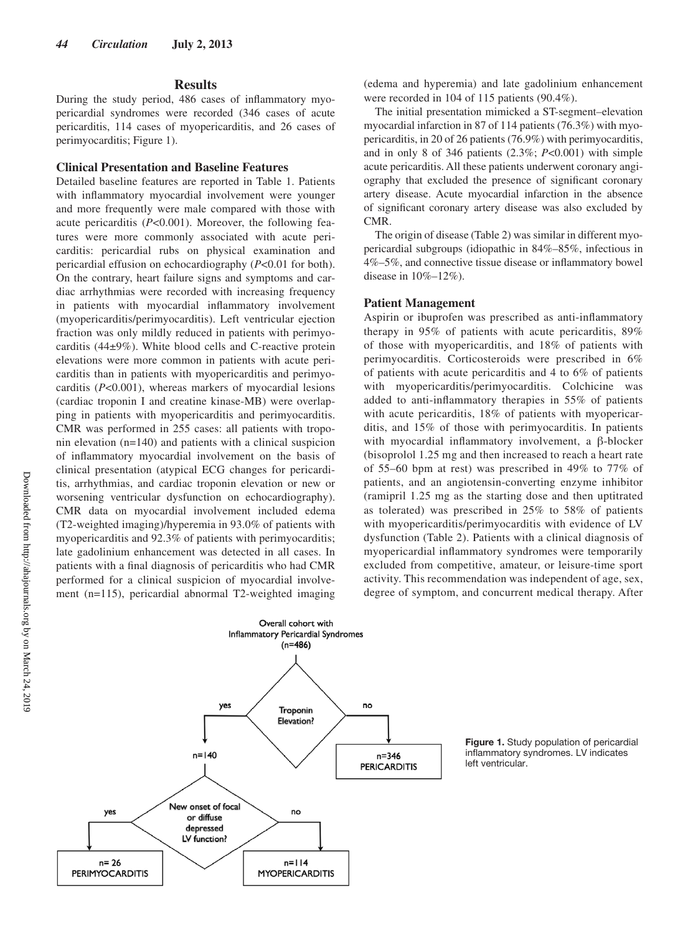## **Results**

During the study period, 486 cases of inflammatory myopericardial syndromes were recorded (346 cases of acute pericarditis, 114 cases of myopericarditis, and 26 cases of perimyocarditis; Figure 1).

## **Clinical Presentation and Baseline Features**

Detailed baseline features are reported in Table 1. Patients with inflammatory myocardial involvement were younger and more frequently were male compared with those with acute pericarditis (*P*<0.001). Moreover, the following features were more commonly associated with acute pericarditis: pericardial rubs on physical examination and pericardial effusion on echocardiography (*P*<0.01 for both). On the contrary, heart failure signs and symptoms and cardiac arrhythmias were recorded with increasing frequency in patients with myocardial inflammatory involvement (myopericarditis/perimyocarditis). Left ventricular ejection fraction was only mildly reduced in patients with perimyocarditis (44±9%). White blood cells and C-reactive protein elevations were more common in patients with acute pericarditis than in patients with myopericarditis and perimyocarditis (*P*<0.001), whereas markers of myocardial lesions (cardiac troponin I and creatine kinase-MB) were overlapping in patients with myopericarditis and perimyocarditis. CMR was performed in 255 cases: all patients with troponin elevation (n=140) and patients with a clinical suspicion of inflammatory myocardial involvement on the basis of clinical presentation (atypical ECG changes for pericarditis, arrhythmias, and cardiac troponin elevation or new or worsening ventricular dysfunction on echocardiography). CMR data on myocardial involvement included edema (T2-weighted imaging)/hyperemia in 93.0% of patients with myopericarditis and 92.3% of patients with perimyocarditis; late gadolinium enhancement was detected in all cases. In patients with a final diagnosis of pericarditis who had CMR performed for a clinical suspicion of myocardial involvement (n=115), pericardial abnormal T2-weighted imaging (edema and hyperemia) and late gadolinium enhancement were recorded in 104 of 115 patients (90.4%).

The initial presentation mimicked a ST-segment–elevation myocardial infarction in 87 of 114 patients (76.3%) with myopericarditis, in 20 of 26 patients (76.9%) with perimyocarditis, and in only 8 of 346 patients (2.3%; *P*<0.001) with simple acute pericarditis. All these patients underwent coronary angiography that excluded the presence of significant coronary artery disease. Acute myocardial infarction in the absence of significant coronary artery disease was also excluded by CMR.

The origin of disease (Table 2) was similar in different myopericardial subgroups (idiopathic in 84%–85%, infectious in 4%–5%, and connective tissue disease or inflammatory bowel disease in 10%–12%).

#### **Patient Management**

Aspirin or ibuprofen was prescribed as anti-inflammatory therapy in 95% of patients with acute pericarditis, 89% of those with myopericarditis, and 18% of patients with perimyocarditis. Corticosteroids were prescribed in 6% of patients with acute pericarditis and 4 to 6% of patients with myopericarditis/perimyocarditis. Colchicine was added to anti-inflammatory therapies in 55% of patients with acute pericarditis, 18% of patients with myopericarditis, and 15% of those with perimyocarditis. In patients with myocardial inflammatory involvement, a β-blocker (bisoprolol 1.25 mg and then increased to reach a heart rate of 55–60 bpm at rest) was prescribed in 49% to 77% of patients, and an angiotensin-converting enzyme inhibitor (ramipril 1.25 mg as the starting dose and then uptitrated as tolerated) was prescribed in 25% to 58% of patients with myopericarditis/perimyocarditis with evidence of LV dysfunction (Table 2). Patients with a clinical diagnosis of myopericardial inflammatory syndromes were temporarily excluded from competitive, amateur, or leisure-time sport activity. This recommendation was independent of age, sex, degree of symptom, and concurrent medical therapy. After



**Figure 1.** Study population of pericardial inflammatory syndromes. LV indicates left ventricular.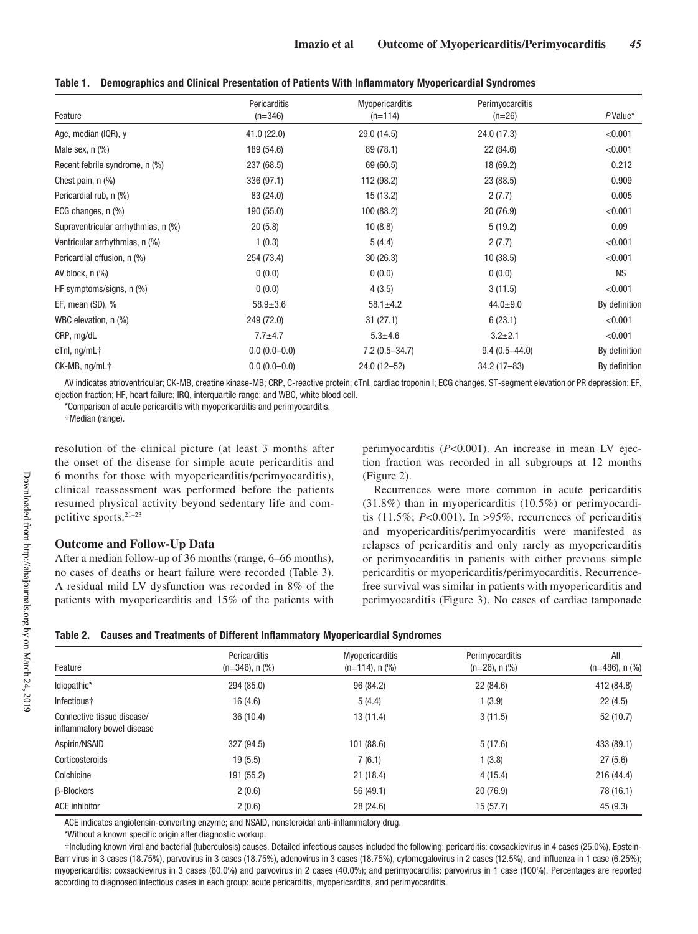| Feature                             | Pericarditis<br>$(n=346)$ | <b>Myopericarditis</b><br>$(n=114)$ | Perimyocarditis<br>$(n=26)$ | PValue*       |
|-------------------------------------|---------------------------|-------------------------------------|-----------------------------|---------------|
| Age, median (IQR), y                | 41.0(22.0)                | 29.0 (14.5)                         | 24.0 (17.3)                 | < 0.001       |
| Male sex, $n$ $%$                   | 189 (54.6)                | 89 (78.1)                           | 22(84.6)                    | < 0.001       |
| Recent febrile syndrome, n (%)      | 237 (68.5)                | 69 (60.5)                           | 18 (69.2)                   | 0.212         |
| Chest pain, $n$ $(\%)$              | 336 (97.1)                | 112 (98.2)                          | 23 (88.5)                   | 0.909         |
| Pericardial rub, n (%)              | 83 (24.0)                 | 15(13.2)                            | 2(7.7)                      | 0.005         |
| ECG changes, n (%)                  | 190 (55.0)                | 100 (88.2)                          | 20(76.9)                    | < 0.001       |
| Supraventricular arrhythmias, n (%) | 20(5.8)                   | 10(8.8)                             | 5(19.2)                     | 0.09          |
| Ventricular arrhythmias, n (%)      | 1(0.3)                    | 5(4.4)                              | 2(7.7)                      | < 0.001       |
| Pericardial effusion, n (%)         | 254 (73.4)                | 30(26.3)                            | 10(38.5)                    | < 0.001       |
| AV block, $n$ $(\%)$                | 0(0.0)                    | 0(0.0)                              | 0(0.0)                      | <b>NS</b>     |
| HF symptoms/signs, n (%)            | 0(0.0)                    | 4(3.5)                              | 3(11.5)                     | < 0.001       |
| EF, mean (SD), %                    | $58.9 \pm 3.6$            | $58.1 \pm 4.2$                      | $44.0 \pm 9.0$              | By definition |
| WBC elevation, n (%)                | 249 (72.0)                | 31(27.1)                            | 6(23.1)                     | < 0.001       |
| CRP, mg/dL                          | $7.7 + 4.7$               | $5.3 + 4.6$                         | $3.2 + 2.1$                 | < 0.001       |
| $cTnl$ , ng/mL $\dagger$            | $0.0(0.0-0.0)$            | $7.2(0.5 - 34.7)$                   | $9.4(0.5 - 44.0)$           | By definition |
| CK-MB, ng/mL+                       | $0.0(0.0-0.0)$            | 24.0 (12-52)                        | $34.2(17 - 83)$             | By definition |

**Table 1. Demographics and Clinical Presentation of Patients With Inflammatory Myopericardial Syndromes**

AV indicates atrioventricular; CK-MB, creatine kinase-MB; CRP, C-reactive protein; cTnI, cardiac troponin I; ECG changes, ST-segment elevation or PR depression; EF, ejection fraction; HF, heart failure; IRQ, interquartile range; and WBC, white blood cell.

\*Comparison of acute pericarditis with myopericarditis and perimyocarditis.

†Median (range).

resolution of the clinical picture (at least 3 months after the onset of the disease for simple acute pericarditis and 6 months for those with myopericarditis/perimyocarditis), clinical reassessment was performed before the patients resumed physical activity beyond sedentary life and competitive sports.21–23

## **Outcome and Follow-Up Data**

After a median follow-up of 36 months (range, 6–66 months), no cases of deaths or heart failure were recorded (Table 3). A residual mild LV dysfunction was recorded in 8% of the patients with myopericarditis and 15% of the patients with perimyocarditis (*P*<0.001). An increase in mean LV ejection fraction was recorded in all subgroups at 12 months (Figure 2).

Recurrences were more common in acute pericarditis (31.8%) than in myopericarditis (10.5%) or perimyocarditis (11.5%; *P*<0.001). In >95%, recurrences of pericarditis and myopericarditis/perimyocarditis were manifested as relapses of pericarditis and only rarely as myopericarditis or perimyocarditis in patients with either previous simple pericarditis or myopericarditis/perimyocarditis. Recurrencefree survival was similar in patients with myopericarditis and perimyocarditis (Figure 3). No cases of cardiac tamponade

|  | Table 2.    Causes and Treatments of Different Inflammatory Myopericardial Syndromes |  |
|--|--------------------------------------------------------------------------------------|--|
|--|--------------------------------------------------------------------------------------|--|

| Feature                                                  | Pericarditis<br>$(n=346)$ , n $(\%)$ | Myopericarditis<br>$(n=114)$ , n $(\%)$ | Perimyocarditis<br>$(n=26)$ , n $(\%)$ | All<br>$(n=486)$ , n $(\%)$ |
|----------------------------------------------------------|--------------------------------------|-----------------------------------------|----------------------------------------|-----------------------------|
| Idiopathic*                                              | 294 (85.0)                           | 96 (84.2)                               | 22 (84.6)                              | 412 (84.8)                  |
| Infectious+                                              | 16(4.6)                              | 5(4.4)                                  | 1(3.9)                                 | 22(4.5)                     |
| Connective tissue disease/<br>inflammatory bowel disease | 36(10.4)                             | 13(11.4)                                | 3(11.5)                                | 52 (10.7)                   |
| Aspirin/NSAID                                            | 327 (94.5)                           | 101 (88.6)                              | 5(17.6)                                | 433 (89.1)                  |
| Corticosteroids                                          | 19(5.5)                              | 7(6.1)                                  | 1(3.8)                                 | 27(5.6)                     |
| Colchicine                                               | 191 (55.2)                           | 21(18.4)                                | 4(15.4)                                | 216 (44.4)                  |
| <b>B-Blockers</b>                                        | 2(0.6)                               | 56 (49.1)                               | 20(76.9)                               | 78 (16.1)                   |
| <b>ACE inhibitor</b>                                     | 2(0.6)                               | 28 (24.6)                               | 15(57.7)                               | 45(9.3)                     |

ACE indicates angiotensin-converting enzyme; and NSAID, nonsteroidal anti-inflammatory drug.

\*Without a known specific origin after diagnostic workup.

†Including known viral and bacterial (tuberculosis) causes. Detailed infectious causes included the following: pericarditis: coxsackievirus in 4 cases (25.0%), Epstein-Barr virus in 3 cases (18.75%), parvovirus in 3 cases (18.75%), adenovirus in 3 cases (18.75%), cytomegalovirus in 2 cases (12.5%), and influenza in 1 case (6.25%); myopericarditis: coxsackievirus in 3 cases (60.0%) and parvovirus in 2 cases (40.0%); and perimyocarditis: parvovirus in 1 case (100%). Percentages are reported according to diagnosed infectious cases in each group: acute pericarditis, myopericarditis, and perimyocarditis.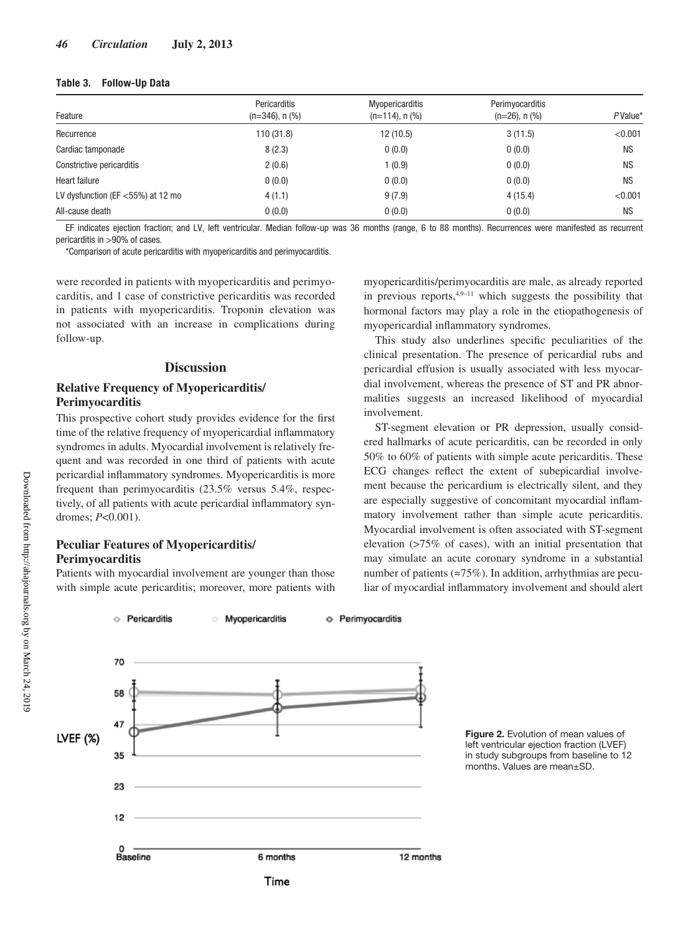## **Table 3. Follow-Up Data**

|                                      | Pericarditis         | Myopericarditis      | Perimyocarditis     | $P$ Value* |
|--------------------------------------|----------------------|----------------------|---------------------|------------|
| Feature                              | $(n=346)$ , n $(\%)$ | $(n=114)$ , n $(\%)$ | $(n=26)$ , n $(\%)$ |            |
| Recurrence                           | 110(31.8)            | 12(10.5)             | 3(11.5)             | < 0.001    |
| Cardiac tamponade                    | 8(2.3)               | 0(0.0)               | 0(0.0)              | <b>NS</b>  |
| Constrictive pericarditis            | 2(0.6)               | 1(0.9)               | 0(0.0)              | <b>NS</b>  |
| Heart failure                        | 0(0.0)               | 0(0.0)               | 0(0.0)              | <b>NS</b>  |
| LV dysfunction (EF $<$ 55%) at 12 mo | 4(1.1)               | 9(7.9)               | 4(15.4)             | < 0.001    |
| All-cause death                      | 0(0.0)               | 0(0.0)               | 0(0.0)              | <b>NS</b>  |

EF indicates ejection fraction; and LV, left ventricular. Median follow-up was 36 months (range, 6 to 88 months). Recurrences were manifested as recurrent pericarditis in >90% of cases.

\*Comparison of acute pericarditis with myopericarditis and perimyocarditis.

were recorded in patients with myopericarditis and perimyocarditis, and 1 case of constrictive pericarditis was recorded in patients with myopericarditis. Troponin elevation was not associated with an increase in complications during follow-up.

## **Discussion**

# **Relative Frequency of Myopericarditis/ Perimyocarditis**

This prospective cohort study provides evidence for the first time of the relative frequency of myopericardial inflammatory syndromes in adults. Myocardial involvement is relatively frequent and was recorded in one third of patients with acute pericardial inflammatory syndromes. Myopericarditis is more frequent than perimyocarditis (23.5% versus 5.4%, respectively, of all patients with acute pericardial inflammatory syndromes; *P*<0.001).

# **Peculiar Features of Myopericarditis/ Perimyocarditis**

Patients with myocardial involvement are younger than those with simple acute pericarditis; moreover, more patients with

myopericarditis/perimyocarditis are male, as already reported in previous reports, $4,9-11$  which suggests the possibility that hormonal factors may play a role in the etiopathogenesis of myopericardial inflammatory syndromes.

This study also underlines specific peculiarities of the clinical presentation. The presence of pericardial rubs and pericardial effusion is usually associated with less myocardial involvement, whereas the presence of ST and PR abnormalities suggests an increased likelihood of myocardial involvement.

ST-segment elevation or PR depression, usually considered hallmarks of acute pericarditis, can be recorded in only 50% to 60% of patients with simple acute pericarditis. These ECG changes reflect the extent of subepicardial involvement because the pericardium is electrically silent, and they are especially suggestive of concomitant myocardial inflammatory involvement rather than simple acute pericarditis. Myocardial involvement is often associated with ST-segment elevation (>75% of cases), with an initial presentation that may simulate an acute coronary syndrome in a substantial number of patients ( $\approx$ 75%). In addition, arrhythmias are peculiar of myocardial inflammatory involvement and should alert





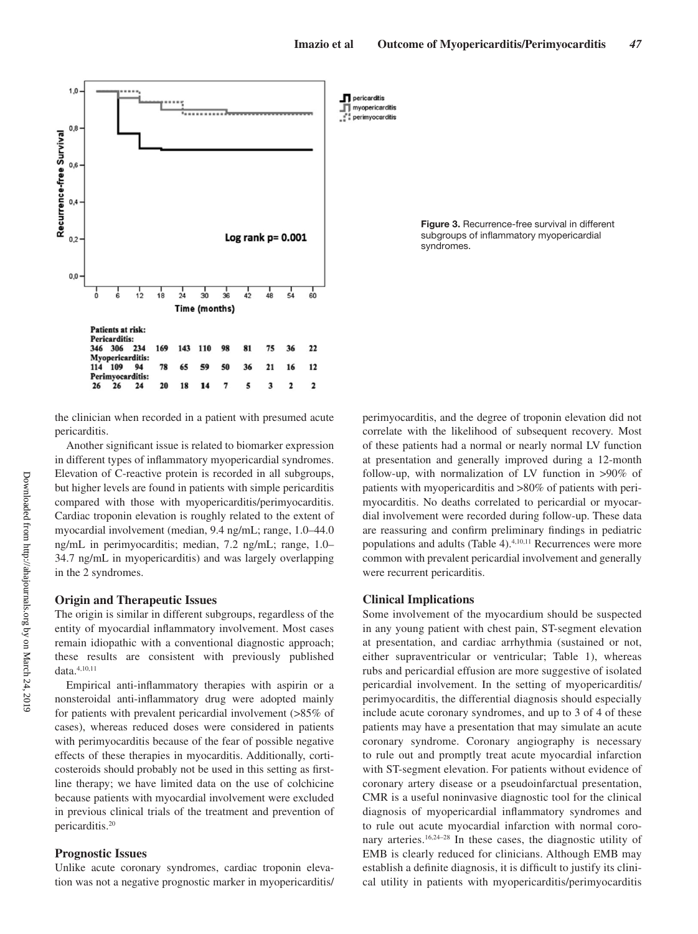myopericarditis



the clinician when recorded in a patient with presumed acute pericarditis.

Another significant issue is related to biomarker expression in different types of inflammatory myopericardial syndromes. Elevation of C-reactive protein is recorded in all subgroups, but higher levels are found in patients with simple pericarditis compared with those with myopericarditis/perimyocarditis. Cardiac troponin elevation is roughly related to the extent of myocardial involvement (median, 9.4 ng/mL; range, 1.0–44.0 ng/mL in perimyocarditis; median, 7.2 ng/mL; range, 1.0– 34.7 ng/mL in myopericarditis) and was largely overlapping in the 2 syndromes.

# **Origin and Therapeutic Issues**

The origin is similar in different subgroups, regardless of the entity of myocardial inflammatory involvement. Most cases remain idiopathic with a conventional diagnostic approach; these results are consistent with previously published data.4,10,11

Empirical anti-inflammatory therapies with aspirin or a nonsteroidal anti-inflammatory drug were adopted mainly for patients with prevalent pericardial involvement (>85% of cases), whereas reduced doses were considered in patients with perimyocarditis because of the fear of possible negative effects of these therapies in myocarditis. Additionally, corticosteroids should probably not be used in this setting as firstline therapy; we have limited data on the use of colchicine because patients with myocardial involvement were excluded in previous clinical trials of the treatment and prevention of pericarditis.20

# **Prognostic Issues**

Unlike acute coronary syndromes, cardiac troponin elevation was not a negative prognostic marker in myopericarditis/

**Figure 3.** Recurrence-free survival in different subgroups of inflammatory myopericardial syndromes.

perimyocarditis, and the degree of troponin elevation did not correlate with the likelihood of subsequent recovery. Most of these patients had a normal or nearly normal LV function at presentation and generally improved during a 12-month follow-up, with normalization of LV function in >90% of patients with myopericarditis and >80% of patients with perimyocarditis. No deaths correlated to pericardial or myocardial involvement were recorded during follow-up. These data are reassuring and confirm preliminary findings in pediatric populations and adults (Table 4).<sup>4,10,11</sup> Recurrences were more common with prevalent pericardial involvement and generally were recurrent pericarditis.

# **Clinical Implications**

Some involvement of the myocardium should be suspected in any young patient with chest pain, ST-segment elevation at presentation, and cardiac arrhythmia (sustained or not, either supraventricular or ventricular; Table 1), whereas rubs and pericardial effusion are more suggestive of isolated pericardial involvement. In the setting of myopericarditis/ perimyocarditis, the differential diagnosis should especially include acute coronary syndromes, and up to 3 of 4 of these patients may have a presentation that may simulate an acute coronary syndrome. Coronary angiography is necessary to rule out and promptly treat acute myocardial infarction with ST-segment elevation. For patients without evidence of coronary artery disease or a pseudoinfarctual presentation, CMR is a useful noninvasive diagnostic tool for the clinical diagnosis of myopericardial inflammatory syndromes and to rule out acute myocardial infarction with normal coronary arteries.16,24–28 In these cases, the diagnostic utility of EMB is clearly reduced for clinicians. Although EMB may establish a definite diagnosis, it is difficult to justify its clinical utility in patients with myopericarditis/perimyocarditis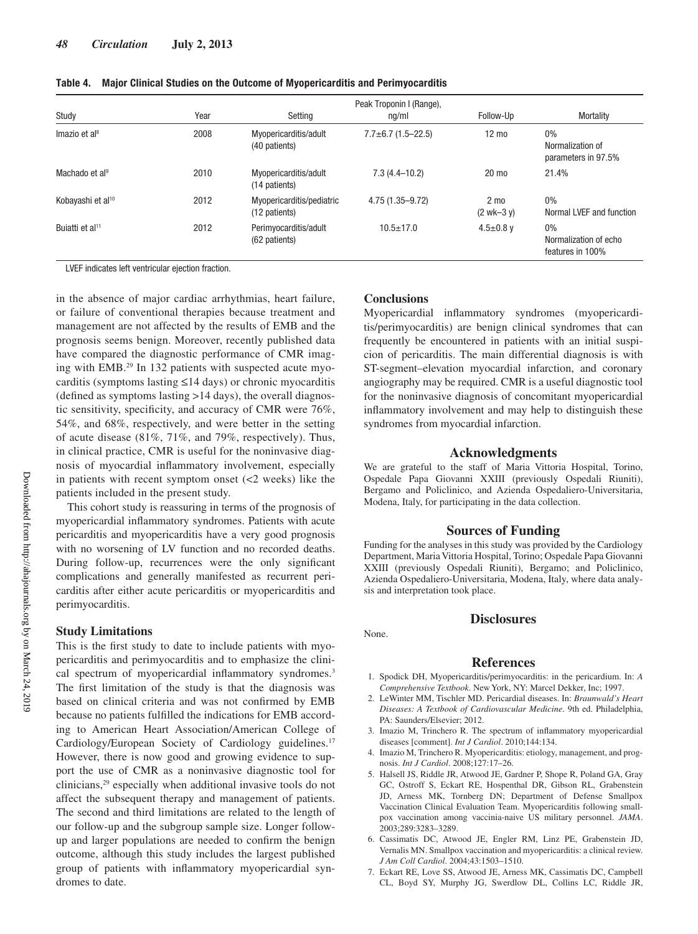| Study                         | Year | Setting                                    | Peak Troponin I (Range),<br>nq/ml | Follow-Up                      | Mortality                                          |
|-------------------------------|------|--------------------------------------------|-----------------------------------|--------------------------------|----------------------------------------------------|
| Imazio et al <sup>8</sup>     | 2008 | Myopericarditis/adult<br>(40 patients)     | $7.7 \pm 6.7$ (1.5-22.5)          | $12 \text{ mo}$                | $0\%$<br>Normalization of<br>parameters in 97.5%   |
| Machado et al <sup>9</sup>    | 2010 | Myopericarditis/adult<br>(14 patients)     | $7.3(4.4 - 10.2)$                 | $20 \text{ mo}$                | 21.4%                                              |
| Kobayashi et al <sup>10</sup> | 2012 | Myopericarditis/pediatric<br>(12 patients) | 4.75 (1.35-9.72)                  | $2 \text{ mo}$<br>$(2$ wk-3 y) | $0\%$<br>Normal LVEF and function                  |
| Buiatti et al <sup>11</sup>   | 2012 | Perimyocarditis/adult<br>(62 patients)     | $10.5 + 17.0$                     | 4.5 $\pm$ 0.8 v                | $0\%$<br>Normalization of echo<br>features in 100% |

**Table 4. Major Clinical Studies on the Outcome of Myopericarditis and Perimyocarditis**

LVEF indicates left ventricular ejection fraction.

in the absence of major cardiac arrhythmias, heart failure, or failure of conventional therapies because treatment and management are not affected by the results of EMB and the prognosis seems benign. Moreover, recently published data have compared the diagnostic performance of CMR imaging with EMB.29 In 132 patients with suspected acute myocarditis (symptoms lasting ≤14 days) or chronic myocarditis (defined as symptoms lasting >14 days), the overall diagnostic sensitivity, specificity, and accuracy of CMR were 76%, 54%, and 68%, respectively, and were better in the setting of acute disease (81%, 71%, and 79%, respectively). Thus, in clinical practice, CMR is useful for the noninvasive diagnosis of myocardial inflammatory involvement, especially in patients with recent symptom onset (<2 weeks) like the patients included in the present study.

This cohort study is reassuring in terms of the prognosis of myopericardial inflammatory syndromes. Patients with acute pericarditis and myopericarditis have a very good prognosis with no worsening of LV function and no recorded deaths. During follow-up, recurrences were the only significant complications and generally manifested as recurrent pericarditis after either acute pericarditis or myopericarditis and perimyocarditis.

## **Study Limitations**

This is the first study to date to include patients with myopericarditis and perimyocarditis and to emphasize the clinical spectrum of myopericardial inflammatory syndromes.<sup>3</sup> The first limitation of the study is that the diagnosis was based on clinical criteria and was not confirmed by EMB because no patients fulfilled the indications for EMB according to American Heart Association/American College of Cardiology/European Society of Cardiology guidelines.<sup>17</sup> However, there is now good and growing evidence to support the use of CMR as a noninvasive diagnostic tool for clinicians,<sup>29</sup> especially when additional invasive tools do not affect the subsequent therapy and management of patients. The second and third limitations are related to the length of our follow-up and the subgroup sample size. Longer followup and larger populations are needed to confirm the benign outcome, although this study includes the largest published group of patients with inflammatory myopericardial syndromes to date.

# **Conclusions**

Myopericardial inflammatory syndromes (myopericarditis/perimyocarditis) are benign clinical syndromes that can frequently be encountered in patients with an initial suspicion of pericarditis. The main differential diagnosis is with ST-segment–elevation myocardial infarction, and coronary angiography may be required. CMR is a useful diagnostic tool for the noninvasive diagnosis of concomitant myopericardial inflammatory involvement and may help to distinguish these syndromes from myocardial infarction.

#### **Acknowledgments**

We are grateful to the staff of Maria Vittoria Hospital, Torino, Ospedale Papa Giovanni XXIII (previously Ospedali Riuniti), Bergamo and Policlinico, and Azienda Ospedaliero-Universitaria, Modena, Italy, for participating in the data collection.

## **Sources of Funding**

Funding for the analyses in this study was provided by the Cardiology Department, Maria Vittoria Hospital, Torino; Ospedale Papa Giovanni XXIII (previously Ospedali Riuniti), Bergamo; and Policlinico, Azienda Ospedaliero-Universitaria, Modena, Italy, where data analysis and interpretation took place.

# **Disclosures**

#### None.

## **References**

- 1. Spodick DH, Myopericarditis/perimyocarditis: in the pericardium. In: *A Comprehensive Textbook*. New York, NY: Marcel Dekker, Inc; 1997.
- 2. LeWinter MM, Tischler MD. Pericardial diseases. In: *Braunwald's Heart Diseases: A Textbook of Cardiovascular Medicine*. 9th ed. Philadelphia, PA: Saunders/Elsevier; 2012.
- 3. Imazio M, Trinchero R. The spectrum of inflammatory myopericardial diseases [comment]. *Int J Cardiol*. 2010;144:134.
- 4. Imazio M, Trinchero R. Myopericarditis: etiology, management, and prognosis. *Int J Cardiol*. 2008;127:17–26.
- 5. Halsell JS, Riddle JR, Atwood JE, Gardner P, Shope R, Poland GA, Gray GC, Ostroff S, Eckart RE, Hospenthal DR, Gibson RL, Grabenstein JD, Arness MK, Tornberg DN; Department of Defense Smallpox Vaccination Clinical Evaluation Team. Myopericarditis following smallpox vaccination among vaccinia-naive US military personnel. *JAMA*. 2003;289:3283–3289.
- 6. Cassimatis DC, Atwood JE, Engler RM, Linz PE, Grabenstein JD, Vernalis MN. Smallpox vaccination and myopericarditis: a clinical review. *J Am Coll Cardiol*. 2004;43:1503–1510.
- 7. Eckart RE, Love SS, Atwood JE, Arness MK, Cassimatis DC, Campbell CL, Boyd SY, Murphy JG, Swerdlow DL, Collins LC, Riddle JR,